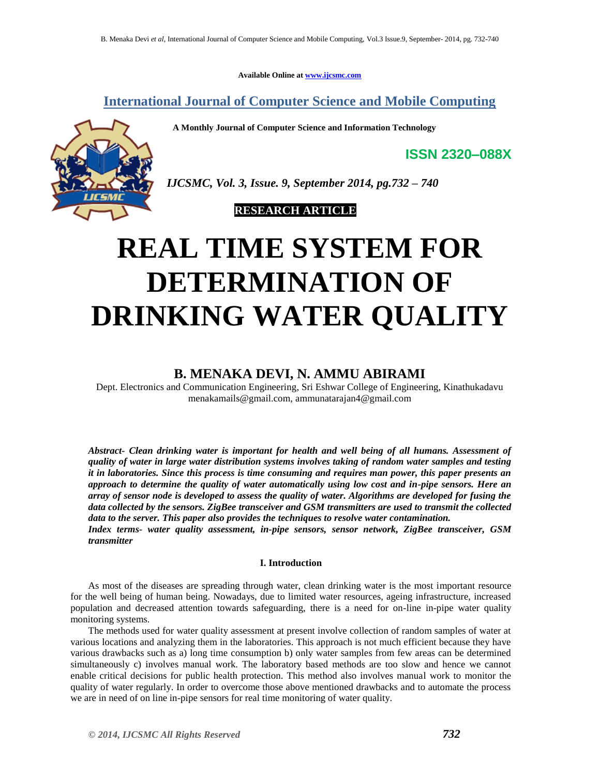**Available Online at [www.ijcsmc.com](http://www.ijcsmc.com/)**

**International Journal of Computer Science and Mobile Computing**

 **A Monthly Journal of Computer Science and Information Technology**



*IJCSMC, Vol. 3, Issue. 9, September 2014, pg.732 – 740*

# **RESEARCH ARTICLE**

# **REAL TIME SYSTEM FOR DETERMINATION OF DRINKING WATER QUALITY**

# **B. MENAKA DEVI, N. AMMU ABIRAMI**

Dept. Electronics and Communication Engineering, Sri Eshwar College of Engineering, Kinathukadavu menakamails@gmail.com, [ammunatarajan4@gmail.com](mailto:ammunatarajan4@gmail.com)

*Abstract- Clean drinking water is important for health and well being of all humans. Assessment of quality of water in large water distribution systems involves taking of random water samples and testing it in laboratories. Since this process is time consuming and requires man power, this paper presents an approach to determine the quality of water automatically using low cost and in-pipe sensors. Here an array of sensor node is developed to assess the quality of water. Algorithms are developed for fusing the data collected by the sensors. ZigBee transceiver and GSM transmitters are used to transmit the collected data to the server. This paper also provides the techniques to resolve water contamination.*

*Index terms- water quality assessment, in-pipe sensors, sensor network, ZigBee transceiver, GSM transmitter*

# **I. Introduction**

As most of the diseases are spreading through water, clean drinking water is the most important resource for the well being of human being. Nowadays, due to limited water resources, ageing infrastructure, increased population and decreased attention towards safeguarding, there is a need for on-line in-pipe water quality monitoring systems.

The methods used for water quality assessment at present involve collection of random samples of water at various locations and analyzing them in the laboratories. This approach is not much efficient because they have various drawbacks such as a) long time consumption b) only water samples from few areas can be determined simultaneously c) involves manual work. The laboratory based methods are too slow and hence we cannot enable critical decisions for public health protection. This method also involves manual work to monitor the quality of water regularly. In order to overcome those above mentioned drawbacks and to automate the process we are in need of on line in-pipe sensors for real time monitoring of water quality.

**ISSN 2320–088X**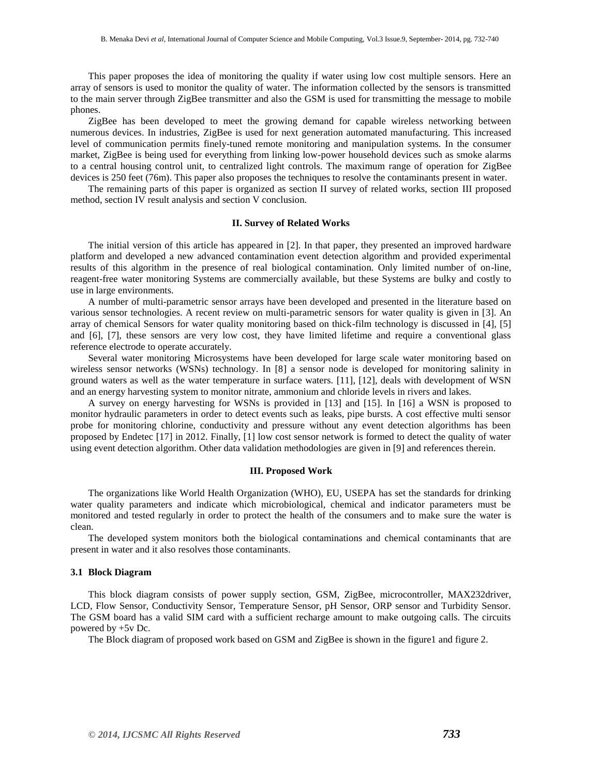This paper proposes the idea of monitoring the quality if water using low cost multiple sensors. Here an array of sensors is used to monitor the quality of water. The information collected by the sensors is transmitted to the main server through ZigBee transmitter and also the GSM is used for transmitting the message to mobile phones.

ZigBee has been developed to meet the growing demand for capable wireless networking between numerous devices. In industries, ZigBee is used for next generation automated manufacturing. This increased level of communication permits finely-tuned remote monitoring and manipulation systems. In the consumer market, ZigBee is being used for everything from linking low-power household devices such as smoke alarms to a central housing control unit, to centralized light controls. The maximum range of operation for ZigBee devices is 250 feet (76m). This paper also proposes the techniques to resolve the contaminants present in water.

The remaining parts of this paper is organized as section II survey of related works, section III proposed method, section IV result analysis and section V conclusion.

#### **II. Survey of Related Works**

The initial version of this article has appeared in [2]. In that paper, they presented an improved hardware platform and developed a new advanced contamination event detection algorithm and provided experimental results of this algorithm in the presence of real biological contamination. Only limited number of on-line, reagent-free water monitoring Systems are commercially available, but these Systems are bulky and costly to use in large environments.

A number of multi-parametric sensor arrays have been developed and presented in the literature based on various sensor technologies. A recent review on multi-parametric sensors for water quality is given in [3]. An array of chemical Sensors for water quality monitoring based on thick-film technology is discussed in [4], [5] and [6], [7], these sensors are very low cost, they have limited lifetime and require a conventional glass reference electrode to operate accurately.

Several water monitoring Microsystems have been developed for large scale water monitoring based on wireless sensor networks (WSNs) technology. In [8] a sensor node is developed for monitoring salinity in ground waters as well as the water temperature in surface waters. [11], [12], deals with development of WSN and an energy harvesting system to monitor nitrate, ammonium and chloride levels in rivers and lakes.

A survey on energy harvesting for WSNs is provided in [13] and [15]. In [16] a WSN is proposed to monitor hydraulic parameters in order to detect events such as leaks, pipe bursts. A cost effective multi sensor probe for monitoring chlorine, conductivity and pressure without any event detection algorithms has been proposed by Endetec [17] in 2012. Finally, [1] low cost sensor network is formed to detect the quality of water using event detection algorithm. Other data validation methodologies are given in [9] and references therein.

#### **III. Proposed Work**

The organizations like World Health Organization (WHO), EU, USEPA has set the standards for drinking water quality parameters and indicate which microbiological, chemical and indicator parameters must be monitored and tested regularly in order to protect the health of the consumers and to make sure the water is clean.

The developed system monitors both the biological contaminations and chemical contaminants that are present in water and it also resolves those contaminants.

#### **3.1 Block Diagram**

This block diagram consists of power supply section, GSM, ZigBee, microcontroller, MAX232driver, LCD, Flow Sensor, Conductivity Sensor, Temperature Sensor, pH Sensor, ORP sensor and Turbidity Sensor. The GSM board has a valid SIM card with a sufficient recharge amount to make outgoing calls. The circuits powered by +5v Dc.

The Block diagram of proposed work based on GSM and ZigBee is shown in the figure1 and figure 2.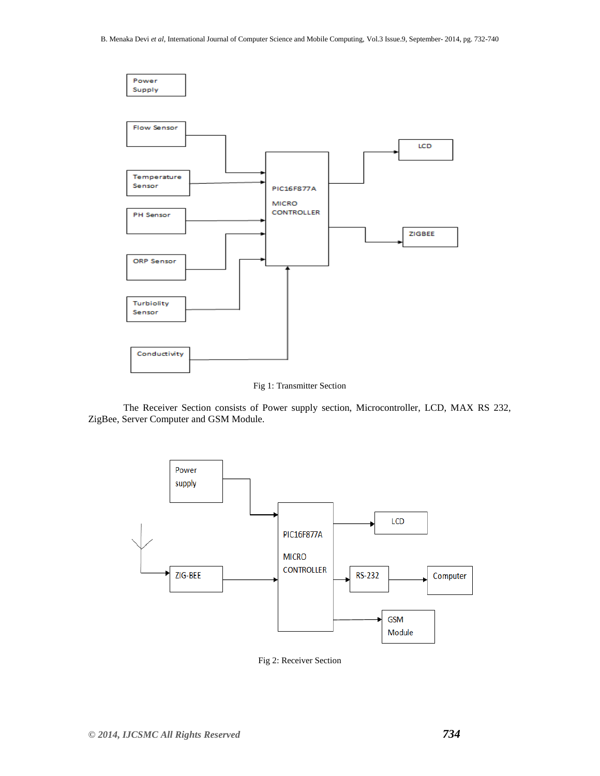

Fig 1: Transmitter Section

The Receiver Section consists of Power supply section, Microcontroller, LCD, MAX RS 232, ZigBee, Server Computer and GSM Module.



Fig 2: Receiver Section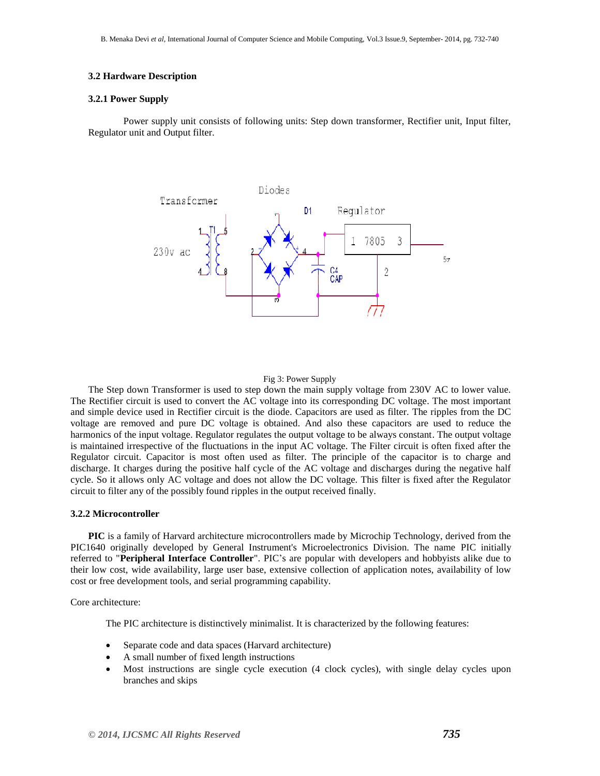# **3.2 Hardware Description**

#### **3.2.1 Power Supply**

Power supply unit consists of following units: Step down transformer, Rectifier unit, Input filter, Regulator unit and Output filter.



## Fig 3: Power Supply

The Step down Transformer is used to step down the main supply voltage from 230V AC to lower value. The Rectifier circuit is used to convert the AC voltage into its corresponding DC voltage. The most important and simple device used in Rectifier circuit is the diode. Capacitors are used as filter. The ripples from the DC voltage are removed and pure DC voltage is obtained. And also these capacitors are used to reduce the harmonics of the input voltage. Regulator regulates the output voltage to be always constant. The output voltage is maintained irrespective of the fluctuations in the input AC voltage. The Filter circuit is often fixed after the Regulator circuit. Capacitor is most often used as filter. The principle of the capacitor is to charge and discharge. It charges during the positive half cycle of the AC voltage and discharges during the negative half cycle. So it allows only AC voltage and does not allow the DC voltage. This filter is fixed after the Regulator circuit to filter any of the possibly found ripples in the output received finally.

#### **3.2.2 Microcontroller**

**PIC** is a family of Harvard architecture microcontrollers made by Microchip Technology, derived from the PIC1640 originally developed by General Instrument's Microelectronics Division. The name PIC initially referred to "**Peripheral Interface Controller**". PIC"s are popular with developers and hobbyists alike due to their low cost, wide availability, large user base, extensive collection of application notes, availability of low cost or free development tools, and serial programming capability.

Core architecture:

The PIC architecture is distinctively minimalist. It is characterized by the following features:

- Separate code and data spaces (Harvard architecture)
- A small number of fixed length instructions
- Most instructions are single cycle execution (4 clock cycles), with single delay cycles upon branches and skips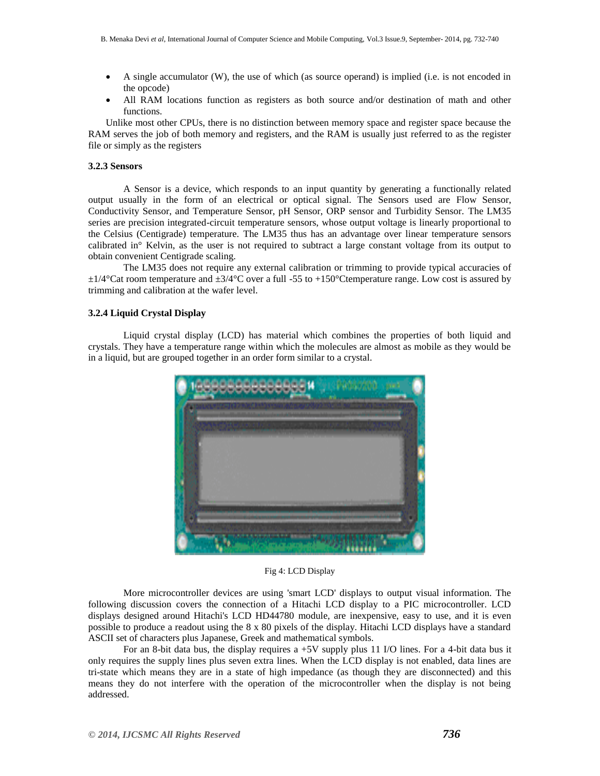- A single accumulator (W), the use of which (as source operand) is implied (i.e. is not encoded in the opcode)
- All RAM locations function as registers as both source and/or destination of math and other functions.

Unlike most other CPUs, there is no distinction between memory space and register space because the RAM serves the job of both memory and registers, and the RAM is usually just referred to as the register file or simply as the registers

## **3.2.3 Sensors**

A Sensor is a device, which responds to an input quantity by generating a functionally related output usually in the form of an electrical or optical signal. The Sensors used are Flow Sensor, Conductivity Sensor, and Temperature Sensor, pH Sensor, ORP sensor and Turbidity Sensor. The LM35 series are precision integrated-circuit temperature sensors, whose output voltage is linearly proportional to the Celsius (Centigrade) temperature. The LM35 thus has an advantage over linear temperature sensors calibrated in° Kelvin, as the user is not required to subtract a large constant voltage from its output to obtain convenient Centigrade scaling.

The LM35 does not require any external calibration or trimming to provide typical accuracies of  $\pm 1/4$ °Cat room temperature and  $\pm 3/4$ °C over a full -55 to +150°Ctemperature range. Low cost is assured by trimming and calibration at the wafer level.

# **3.2.4 Liquid Crystal Display**

Liquid crystal display (LCD) has material which combines the properties of both liquid and crystals. They have a temperature range within which the molecules are almost as mobile as they would be in a liquid, but are grouped together in an order form similar to a crystal.



#### Fig 4: LCD Display

More microcontroller devices are using 'smart LCD' displays to output visual information. The following discussion covers the connection of a Hitachi LCD display to a PIC microcontroller. LCD displays designed around Hitachi's LCD HD44780 module, are inexpensive, easy to use, and it is even possible to produce a readout using the 8 x 80 pixels of the display. Hitachi LCD displays have a standard ASCII set of characters plus Japanese, Greek and mathematical symbols.

For an 8-bit data bus, the display requires a +5V supply plus 11 I/O lines. For a 4-bit data bus it only requires the supply lines plus seven extra lines. When the LCD display is not enabled, data lines are tri-state which means they are in a state of high impedance (as though they are disconnected) and this means they do not interfere with the operation of the microcontroller when the display is not being addressed.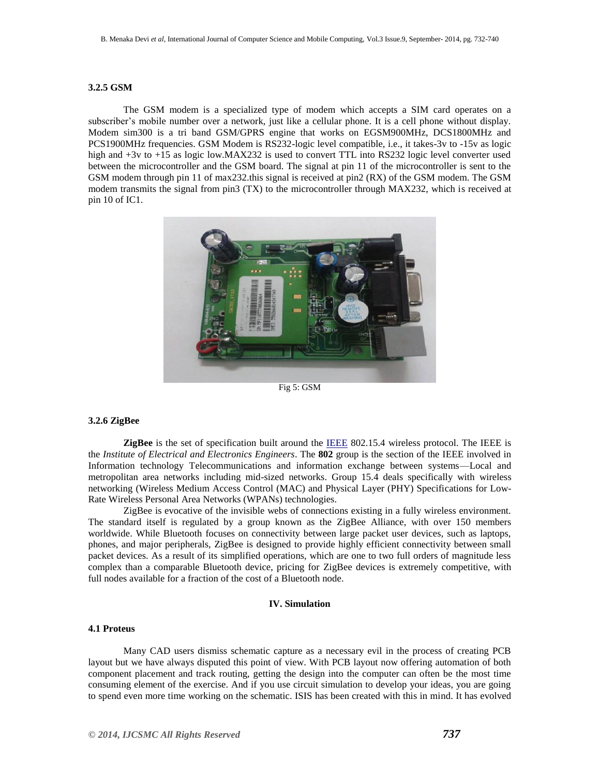#### **3.2.5 GSM**

The GSM modem is a specialized type of modem which accepts a SIM card operates on a subscriber"s mobile number over a network, just like a cellular phone. It is a cell phone without display. Modem sim300 is a tri band GSM/GPRS engine that works on EGSM900MHz, DCS1800MHz and PCS1900MHz frequencies. GSM Modem is RS232-logic level compatible, i.e., it takes-3v to -15v as logic high and  $+3v$  to  $+15$  as logic low.MAX232 is used to convert TTL into RS232 logic level converter used between the microcontroller and the GSM board. The signal at pin 11 of the microcontroller is sent to the GSM modem through pin 11 of max232.this signal is received at pin2 (RX) of the GSM modem. The GSM modem transmits the signal from pin3 (TX) to the microcontroller through MAX232, which is received at pin 10 of IC1.



Fig 5: GSM

# **3.2.6 ZigBee**

**ZigBee** is the set of specification built around the IEEE 802.15.4 wireless protocol. The IEEE is the *Institute of Electrical and Electronics Engineers*. The **802** group is the section of the IEEE involved in Information technology Telecommunications and information exchange between systems—Local and metropolitan area networks including mid-sized networks. Group 15.4 deals specifically with [wireless](http://www.wisegeek.com/what-is-wireless-networking.htm)  [networking](http://www.wisegeek.com/what-is-wireless-networking.htm) (Wireless Medium Access Control (MAC) and Physical Layer (PHY) Specifications for Low-Rate Wireless Personal Area Networks (WPANs) technologies.

ZigBee is evocative of the invisible webs of connections existing in a fully wireless environment. The standard itself is regulated by a group known as the ZigBee Alliance, with over 150 members worldwide. While Bluetooth focuses on connectivity between large packet user devices, such as laptops, phones, and major peripherals, ZigBee is designed to provide highly efficient connectivity between small packet devices. As a result of its simplified operations, which are one to two full orders of magnitude less complex than a comparable Bluetooth device, pricing for ZigBee devices is extremely competitive, with full nodes available for a fraction of the cost of a Bluetooth node.

# **IV. Simulation**

#### **4.1 Proteus**

 Many CAD users dismiss schematic capture as a necessary evil in the process of creating PCB layout but we have always disputed this point of view. With PCB layout now offering automation of both component placement and track routing, getting the design into the computer can often be the most time consuming element of the exercise. And if you use circuit simulation to develop your ideas, you are going to spend even more time working on the schematic. ISIS has been created with this in mind. It has evolved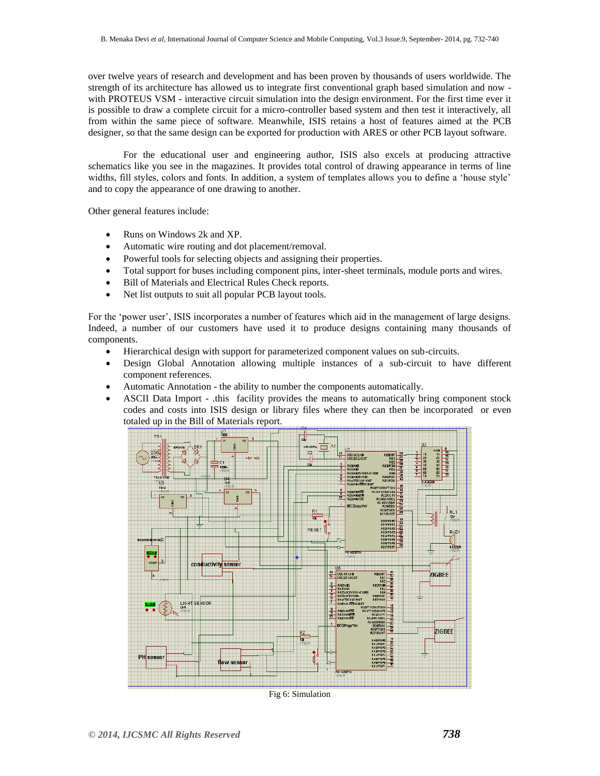over twelve years of research and development and has been proven by thousands of users worldwide. The strength of its architecture has allowed us to integrate first conventional graph based simulation and now with PROTEUS VSM - interactive circuit simulation into the design environment. For the first time ever it is possible to draw a complete circuit for a micro-controller based system and then test it interactively, all from within the same piece of software. Meanwhile, ISIS retains a host of features aimed at the PCB designer, so that the same design can be exported for production with ARES or other PCB layout software.

For the educational user and engineering author, ISIS also excels at producing attractive schematics like you see in the magazines. It provides total control of drawing appearance in terms of line widths, fill styles, colors and fonts. In addition, a system of templates allows you to define a 'house style' and to copy the appearance of one drawing to another.

Other general features include:

- Runs on Windows 2k and XP.
- Automatic wire routing and dot placement/removal.
- Powerful tools for selecting objects and assigning their properties.
- Total support for buses including component pins, inter-sheet terminals, module ports and wires.
- Bill of Materials and Electrical Rules Check reports.
- Net list outputs to suit all popular PCB layout tools.

For the "power user", ISIS incorporates a number of features which aid in the management of large designs. Indeed, a number of our customers have used it to produce designs containing many thousands of components.

- Hierarchical design with support for parameterized component values on sub-circuits.
- Design Global Annotation allowing multiple instances of a sub-circuit to have different component references.
- Automatic Annotation the ability to number the components automatically.
- ASCII Data Import .this facility provides the means to automatically bring component stock codes and costs into ISIS design or library files where they can then be incorporated or even totaled up in the Bill of Materials report.

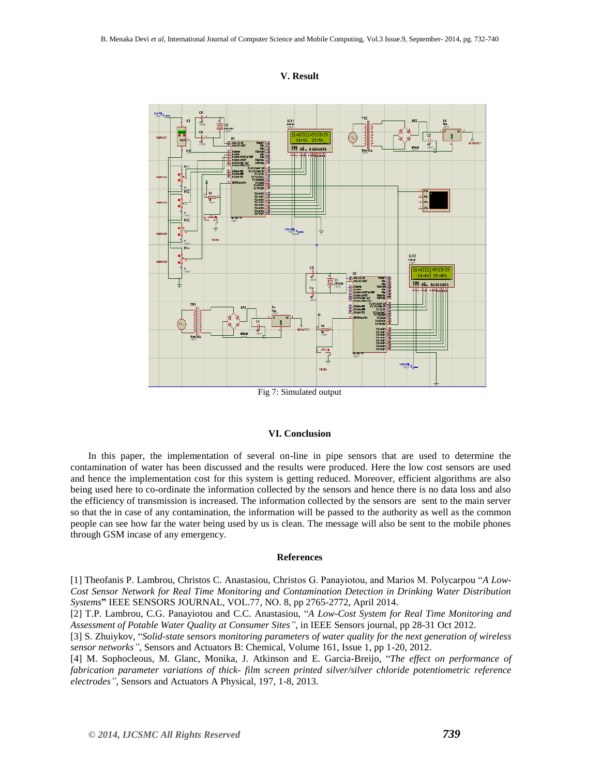## **V. Result**



# Fig 7: Simulated output

#### **VI. Conclusion**

In this paper, the implementation of several on-line in pipe sensors that are used to determine the contamination of water has been discussed and the results were produced. Here the low cost sensors are used and hence the implementation cost for this system is getting reduced. Moreover, efficient algorithms are also being used here to co-ordinate the information collected by the sensors and hence there is no data loss and also the efficiency of transmission is increased. The information collected by the sensors are sent to the main server so that the in case of any contamination, the information will be passed to the authority as well as the common people can see how far the water being used by us is clean. The message will also be sent to the mobile phones through GSM incase of any emergency.

#### **References**

[1] Theofanis P. Lambrou, Christos C. Anastasiou, Christos G. Panayiotou, and Marios M. Polycarpou "*A Low-Cost Sensor Network for Real Time Monitoring and Contamination Detection in Drinking Water Distribution Systems***"** IEEE SENSORS JOURNAL, VOL.77, NO. 8, pp 2765-2772, April 2014.

[2] T.P. Lambrou, C.G. Panayiotou and C.C. Anastasiou, "*A Low-Cost System for Real Time Monitoring and Assessment of Potable Water Quality at Consumer Sites"*, in IEEE Sensors journal, pp 28-31 Oct 2012.

[3] S. Zhuiykov, "*Solid-state sensors monitoring parameters of water quality for the next generation of wireless sensor networks"*, Sensors and Actuators B: Chemical, Volume 161, Issue 1, pp 1-20, 2012.

[4] M. Sophocleous, M. Glanc, Monika, J. Atkinson and E. Garcia-Breijo, "*The effect on performance of fabrication parameter variations of thick- film screen printed silver/silver chloride potentiometric reference electrodes"*, Sensors and Actuators A Physical, 197, 1-8, 2013.